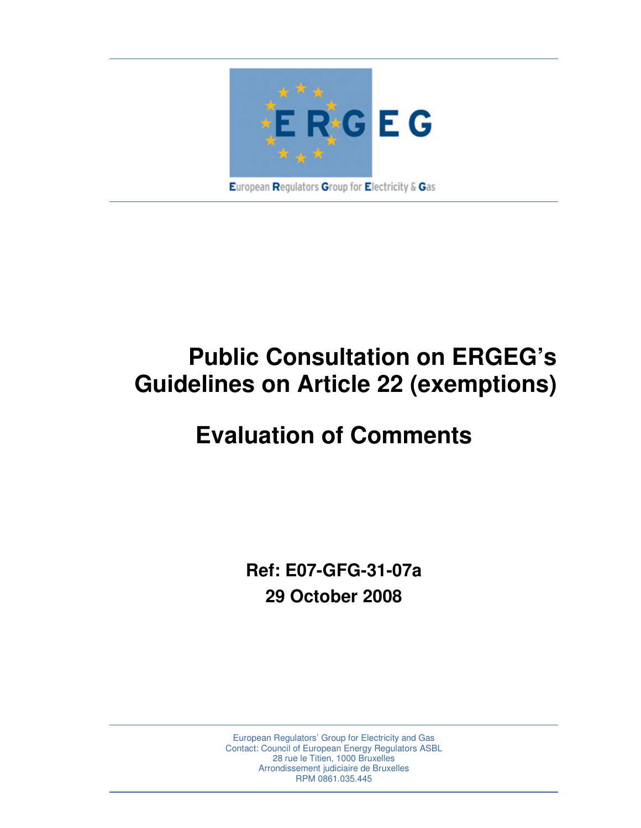

# **Public Consultation on ERGEG's Guidelines on Article 22 (exemptions)**

# **Evaluation of Comments**

**Ref: E07-GFG-31-07a 29 October 2008** 

European Regulators' Group for Electricity and Gas Contact: Council of European Energy Regulators ASBL 28 rue le Titien, 1000 Bruxelles Arrondissement judiciaire de Bruxelles RPM 0861.035.445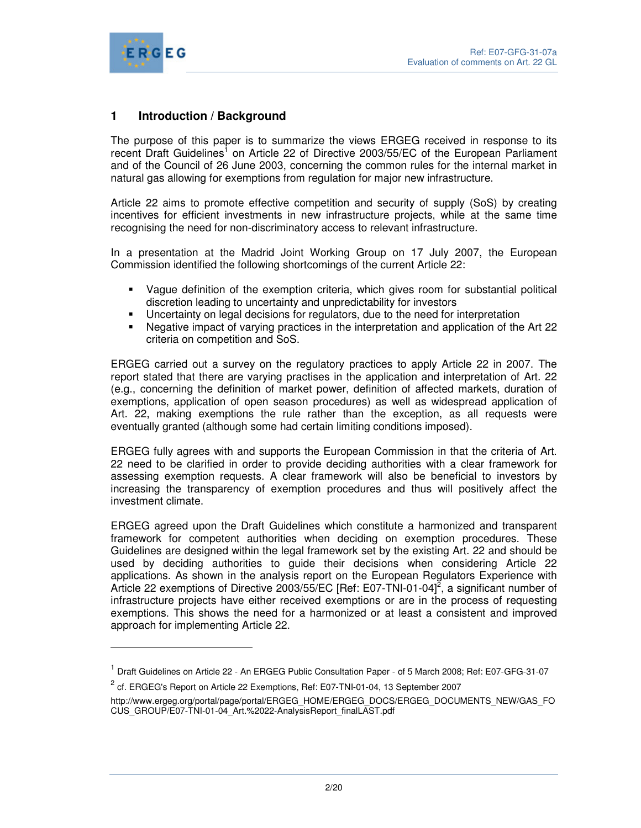

 $\overline{a}$ 

# **1 Introduction / Background**

The purpose of this paper is to summarize the views ERGEG received in response to its recent Draft Guidelines<sup>1</sup> on Article 22 of Directive 2003/55/EC of the European Parliament and of the Council of 26 June 2003, concerning the common rules for the internal market in natural gas allowing for exemptions from regulation for major new infrastructure.

Article 22 aims to promote effective competition and security of supply (SoS) by creating incentives for efficient investments in new infrastructure projects, while at the same time recognising the need for non-discriminatory access to relevant infrastructure.

In a presentation at the Madrid Joint Working Group on 17 July 2007, the European Commission identified the following shortcomings of the current Article 22:

- Vague definition of the exemption criteria, which gives room for substantial political discretion leading to uncertainty and unpredictability for investors
- Uncertainty on legal decisions for regulators, due to the need for interpretation
- Negative impact of varying practices in the interpretation and application of the Art 22 criteria on competition and SoS.

ERGEG carried out a survey on the regulatory practices to apply Article 22 in 2007. The report stated that there are varying practises in the application and interpretation of Art. 22 (e.g., concerning the definition of market power, definition of affected markets, duration of exemptions, application of open season procedures) as well as widespread application of Art. 22, making exemptions the rule rather than the exception, as all requests were eventually granted (although some had certain limiting conditions imposed).

ERGEG fully agrees with and supports the European Commission in that the criteria of Art. 22 need to be clarified in order to provide deciding authorities with a clear framework for assessing exemption requests. A clear framework will also be beneficial to investors by increasing the transparency of exemption procedures and thus will positively affect the investment climate.

ERGEG agreed upon the Draft Guidelines which constitute a harmonized and transparent framework for competent authorities when deciding on exemption procedures. These Guidelines are designed within the legal framework set by the existing Art. 22 and should be used by deciding authorities to guide their decisions when considering Article 22 applications. As shown in the analysis report on the European Regulators Experience with Article 22 exemptions of Directive 2003/55/EC [Ref: E07-TNI-01-04]<sup>2</sup>, a significant number of infrastructure projects have either received exemptions or are in the process of requesting exemptions. This shows the need for a harmonized or at least a consistent and improved approach for implementing Article 22.

<sup>&</sup>lt;sup>1</sup> Draft Guidelines on Article 22 - An ERGEG Public Consultation Paper - of 5 March 2008; Ref: E07-GFG-31-07

 $^2$  cf. ERGEG's Report on Article 22 Exemptions, Ref: E07-TNI-01-04, 13 September 2007

http://www.ergeg.org/portal/page/portal/ERGEG\_HOME/ERGEG\_DOCS/ERGEG\_DOCUMENTS\_NEW/GAS\_FO CUS\_GROUP/E07-TNI-01-04\_Art.%2022-AnalysisReport\_finalLAST.pdf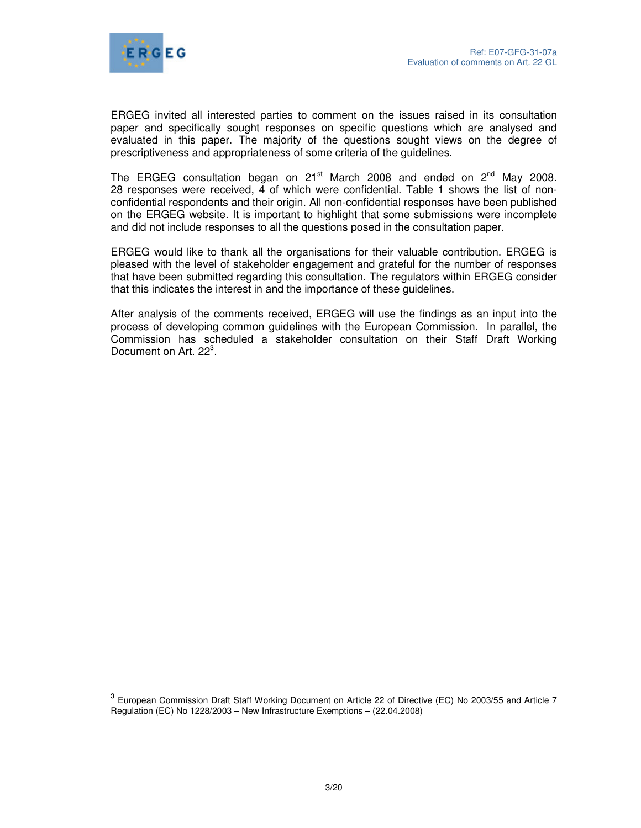

l

ERGEG invited all interested parties to comment on the issues raised in its consultation paper and specifically sought responses on specific questions which are analysed and evaluated in this paper. The majority of the questions sought views on the degree of prescriptiveness and appropriateness of some criteria of the guidelines.

The ERGEG consultation began on 21<sup>st</sup> March 2008 and ended on  $2^{nd}$  May 2008. 28 responses were received,  $\overline{4}$  of which were confidential. Table 1 shows the list of nonconfidential respondents and their origin. All non-confidential responses have been published on the ERGEG website. It is important to highlight that some submissions were incomplete and did not include responses to all the questions posed in the consultation paper.

ERGEG would like to thank all the organisations for their valuable contribution. ERGEG is pleased with the level of stakeholder engagement and grateful for the number of responses that have been submitted regarding this consultation. The regulators within ERGEG consider that this indicates the interest in and the importance of these guidelines.

After analysis of the comments received, ERGEG will use the findings as an input into the process of developing common guidelines with the European Commission. In parallel, the Commission has scheduled a stakeholder consultation on their Staff Draft Working Document on Art. 22<sup>3</sup>.

<sup>&</sup>lt;sup>3</sup> European Commission Draft Staff Working Document on Article 22 of Directive (EC) No 2003/55 and Article 7 Regulation (EC) No 1228/2003 – New Infrastructure Exemptions – (22.04.2008)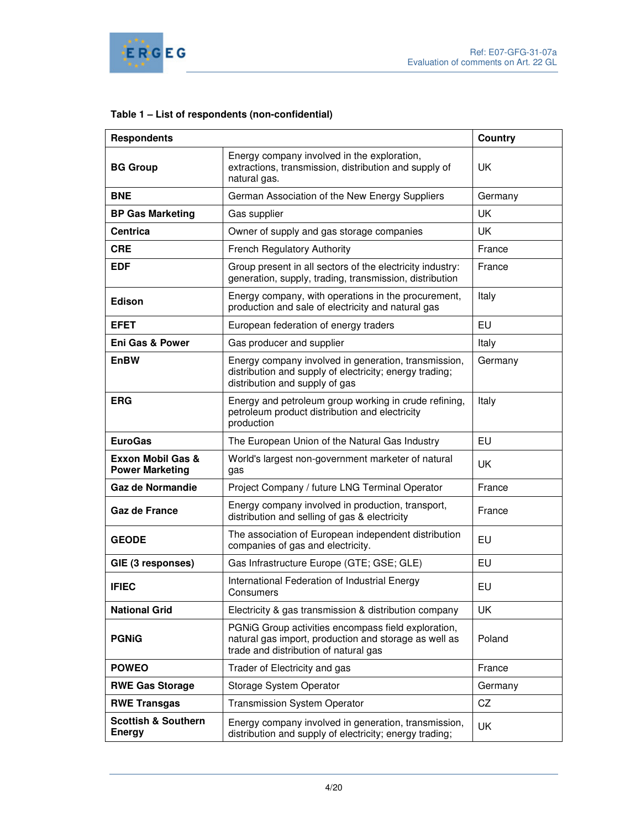

# **Table 1 – List of respondents (non-confidential)**

| <b>Respondents</b>                              |                                                                                                                                                       | <b>Country</b> |
|-------------------------------------------------|-------------------------------------------------------------------------------------------------------------------------------------------------------|----------------|
| <b>BG Group</b>                                 | Energy company involved in the exploration,<br>extractions, transmission, distribution and supply of<br>natural gas.                                  | <b>UK</b>      |
| <b>BNE</b>                                      | German Association of the New Energy Suppliers                                                                                                        | Germany        |
| <b>BP Gas Marketing</b>                         | Gas supplier                                                                                                                                          | <b>UK</b>      |
| <b>Centrica</b>                                 | Owner of supply and gas storage companies                                                                                                             | <b>UK</b>      |
| <b>CRE</b>                                      | <b>French Regulatory Authority</b>                                                                                                                    | France         |
| <b>EDF</b>                                      | Group present in all sectors of the electricity industry:<br>generation, supply, trading, transmission, distribution                                  | France         |
| Edison                                          | Energy company, with operations in the procurement,<br>production and sale of electricity and natural gas                                             | Italy          |
| EFET                                            | European federation of energy traders                                                                                                                 | <b>EU</b>      |
| <b>Eni Gas &amp; Power</b>                      | Gas producer and supplier                                                                                                                             | Italy          |
| <b>EnBW</b>                                     | Energy company involved in generation, transmission,<br>distribution and supply of electricity; energy trading;<br>distribution and supply of gas     | Germany        |
| <b>ERG</b>                                      | Energy and petroleum group working in crude refining,<br>petroleum product distribution and electricity<br>production                                 | Italy          |
| <b>EuroGas</b>                                  | The European Union of the Natural Gas Industry                                                                                                        | EU             |
| Exxon Mobil Gas &<br><b>Power Marketing</b>     | World's largest non-government marketer of natural<br>gas                                                                                             | <b>UK</b>      |
| Gaz de Normandie                                | Project Company / future LNG Terminal Operator                                                                                                        | France         |
| <b>Gaz de France</b>                            | Energy company involved in production, transport,<br>distribution and selling of gas & electricity                                                    | France         |
| <b>GEODE</b>                                    | The association of European independent distribution<br>companies of gas and electricity.                                                             | EU             |
| GIE (3 responses)                               | Gas Infrastructure Europe (GTE; GSE; GLE)                                                                                                             | EU             |
| <b>IFIEC</b>                                    | International Federation of Industrial Energy<br>Consumers                                                                                            | EU             |
| <b>National Grid</b>                            | Electricity & gas transmission & distribution company                                                                                                 | UK             |
| <b>PGNIG</b>                                    | PGNiG Group activities encompass field exploration,<br>natural gas import, production and storage as well as<br>trade and distribution of natural gas | Poland         |
| <b>POWEO</b>                                    | Trader of Electricity and gas                                                                                                                         | France         |
| <b>RWE Gas Storage</b>                          | Storage System Operator                                                                                                                               | Germany        |
| <b>RWE Transgas</b>                             | <b>Transmission System Operator</b>                                                                                                                   | CZ             |
| <b>Scottish &amp; Southern</b><br><b>Energy</b> | Energy company involved in generation, transmission,<br>distribution and supply of electricity; energy trading;                                       | <b>UK</b>      |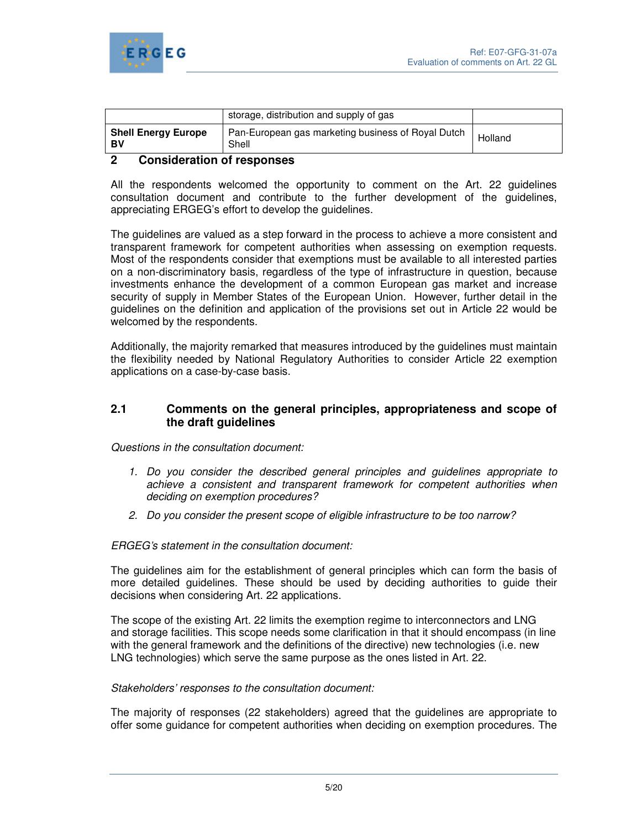

|                                  | storage, distribution and supply of gas                     |         |
|----------------------------------|-------------------------------------------------------------|---------|
| <b>Shell Energy Europe</b><br>BV | Pan-European gas marketing business of Royal Dutch<br>Shell | Holland |

## **2 Consideration of responses**

All the respondents welcomed the opportunity to comment on the Art. 22 guidelines consultation document and contribute to the further development of the guidelines, appreciating ERGEG's effort to develop the guidelines.

The guidelines are valued as a step forward in the process to achieve a more consistent and transparent framework for competent authorities when assessing on exemption requests. Most of the respondents consider that exemptions must be available to all interested parties on a non-discriminatory basis, regardless of the type of infrastructure in question, because investments enhance the development of a common European gas market and increase security of supply in Member States of the European Union. However, further detail in the guidelines on the definition and application of the provisions set out in Article 22 would be welcomed by the respondents.

Additionally, the majority remarked that measures introduced by the guidelines must maintain the flexibility needed by National Regulatory Authorities to consider Article 22 exemption applications on a case-by-case basis.

## **2.1 Comments on the general principles, appropriateness and scope of the draft guidelines**

Questions in the consultation document:

- 1. Do you consider the described general principles and guidelines appropriate to achieve a consistent and transparent framework for competent authorities when deciding on exemption procedures?
- 2. Do you consider the present scope of eligible infrastructure to be too narrow?

ERGEG's statement in the consultation document:

The guidelines aim for the establishment of general principles which can form the basis of more detailed guidelines. These should be used by deciding authorities to guide their decisions when considering Art. 22 applications.

The scope of the existing Art. 22 limits the exemption regime to interconnectors and LNG and storage facilities. This scope needs some clarification in that it should encompass (in line with the general framework and the definitions of the directive) new technologies (i.e. new LNG technologies) which serve the same purpose as the ones listed in Art. 22.

#### Stakeholders' responses to the consultation document:

The majority of responses (22 stakeholders) agreed that the guidelines are appropriate to offer some guidance for competent authorities when deciding on exemption procedures. The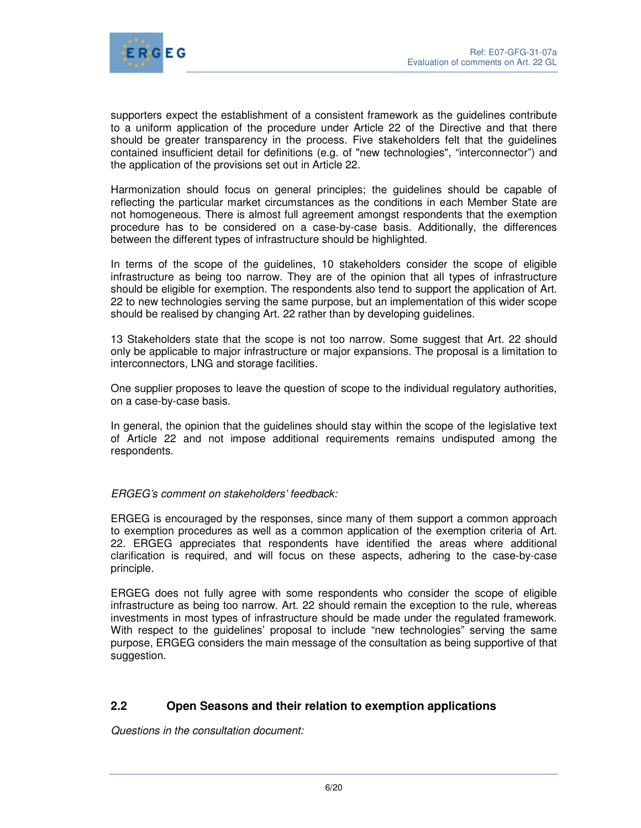

supporters expect the establishment of a consistent framework as the guidelines contribute to a uniform application of the procedure under Article 22 of the Directive and that there should be greater transparency in the process. Five stakeholders felt that the guidelines contained insufficient detail for definitions (e.g. of "new technologies", "interconnector") and the application of the provisions set out in Article 22.

Harmonization should focus on general principles; the guidelines should be capable of reflecting the particular market circumstances as the conditions in each Member State are not homogeneous. There is almost full agreement amongst respondents that the exemption procedure has to be considered on a case-by-case basis. Additionally, the differences between the different types of infrastructure should be highlighted.

In terms of the scope of the guidelines, 10 stakeholders consider the scope of eligible infrastructure as being too narrow. They are of the opinion that all types of infrastructure should be eligible for exemption. The respondents also tend to support the application of Art. 22 to new technologies serving the same purpose, but an implementation of this wider scope should be realised by changing Art. 22 rather than by developing guidelines.

13 Stakeholders state that the scope is not too narrow. Some suggest that Art. 22 should only be applicable to major infrastructure or major expansions. The proposal is a limitation to interconnectors, LNG and storage facilities.

One supplier proposes to leave the question of scope to the individual regulatory authorities, on a case-by-case basis.

In general, the opinion that the guidelines should stay within the scope of the legislative text of Article 22 and not impose additional requirements remains undisputed among the respondents.

## ERGEG's comment on stakeholders' feedback:

ERGEG is encouraged by the responses, since many of them support a common approach to exemption procedures as well as a common application of the exemption criteria of Art. 22. ERGEG appreciates that respondents have identified the areas where additional clarification is required, and will focus on these aspects, adhering to the case-by-case principle.

ERGEG does not fully agree with some respondents who consider the scope of eligible infrastructure as being too narrow. Art. 22 should remain the exception to the rule, whereas investments in most types of infrastructure should be made under the regulated framework. With respect to the guidelines' proposal to include "new technologies" serving the same purpose, ERGEG considers the main message of the consultation as being supportive of that suggestion.

# **2.2 Open Seasons and their relation to exemption applications**

Questions in the consultation document: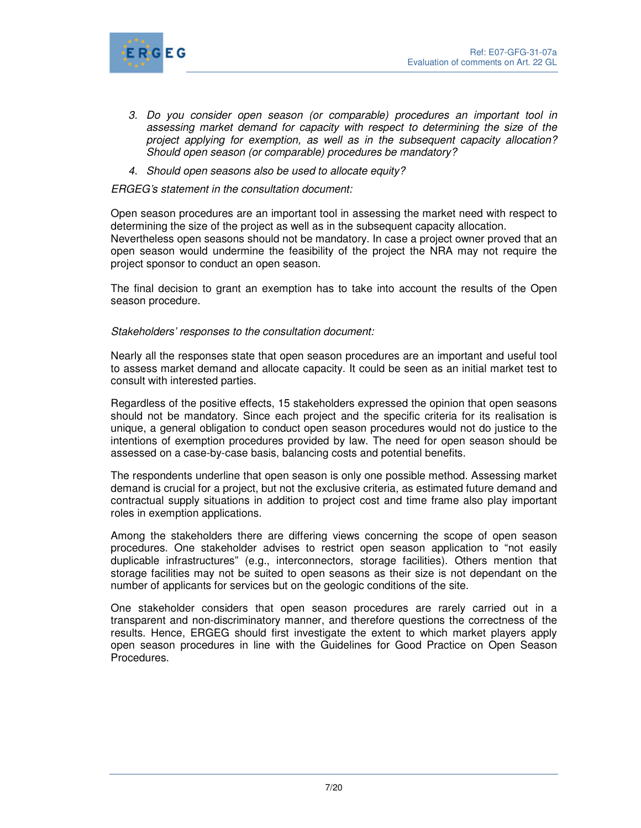

- 3. Do you consider open season (or comparable) procedures an important tool in assessing market demand for capacity with respect to determining the size of the project applying for exemption, as well as in the subsequent capacity allocation? Should open season (or comparable) procedures be mandatory?
- 4. Should open seasons also be used to allocate equity?

#### ERGEG's statement in the consultation document:

Open season procedures are an important tool in assessing the market need with respect to determining the size of the project as well as in the subsequent capacity allocation. Nevertheless open seasons should not be mandatory. In case a project owner proved that an open season would undermine the feasibility of the project the NRA may not require the project sponsor to conduct an open season.

The final decision to grant an exemption has to take into account the results of the Open season procedure.

#### Stakeholders' responses to the consultation document:

Nearly all the responses state that open season procedures are an important and useful tool to assess market demand and allocate capacity. It could be seen as an initial market test to consult with interested parties.

Regardless of the positive effects, 15 stakeholders expressed the opinion that open seasons should not be mandatory. Since each project and the specific criteria for its realisation is unique, a general obligation to conduct open season procedures would not do justice to the intentions of exemption procedures provided by law. The need for open season should be assessed on a case-by-case basis, balancing costs and potential benefits.

The respondents underline that open season is only one possible method. Assessing market demand is crucial for a project, but not the exclusive criteria, as estimated future demand and contractual supply situations in addition to project cost and time frame also play important roles in exemption applications.

Among the stakeholders there are differing views concerning the scope of open season procedures. One stakeholder advises to restrict open season application to "not easily duplicable infrastructures" (e.g., interconnectors, storage facilities). Others mention that storage facilities may not be suited to open seasons as their size is not dependant on the number of applicants for services but on the geologic conditions of the site.

One stakeholder considers that open season procedures are rarely carried out in a transparent and non-discriminatory manner, and therefore questions the correctness of the results. Hence, ERGEG should first investigate the extent to which market players apply open season procedures in line with the Guidelines for Good Practice on Open Season Procedures.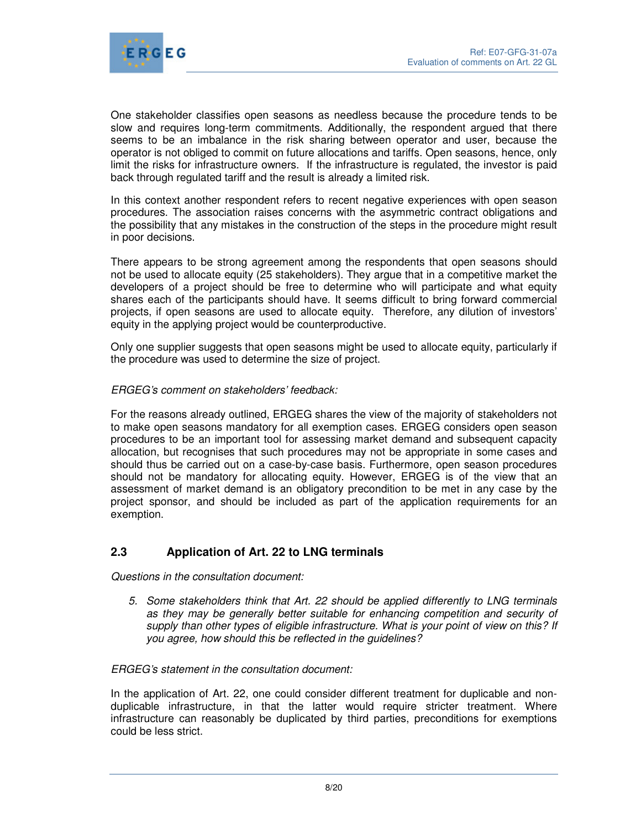

One stakeholder classifies open seasons as needless because the procedure tends to be slow and requires long-term commitments. Additionally, the respondent argued that there seems to be an imbalance in the risk sharing between operator and user, because the operator is not obliged to commit on future allocations and tariffs. Open seasons, hence, only limit the risks for infrastructure owners. If the infrastructure is regulated, the investor is paid back through regulated tariff and the result is already a limited risk.

In this context another respondent refers to recent negative experiences with open season procedures. The association raises concerns with the asymmetric contract obligations and the possibility that any mistakes in the construction of the steps in the procedure might result in poor decisions.

There appears to be strong agreement among the respondents that open seasons should not be used to allocate equity (25 stakeholders). They argue that in a competitive market the developers of a project should be free to determine who will participate and what equity shares each of the participants should have. It seems difficult to bring forward commercial projects, if open seasons are used to allocate equity. Therefore, any dilution of investors' equity in the applying project would be counterproductive.

Only one supplier suggests that open seasons might be used to allocate equity, particularly if the procedure was used to determine the size of project.

## ERGEG's comment on stakeholders' feedback:

For the reasons already outlined, ERGEG shares the view of the majority of stakeholders not to make open seasons mandatory for all exemption cases. ERGEG considers open season procedures to be an important tool for assessing market demand and subsequent capacity allocation, but recognises that such procedures may not be appropriate in some cases and should thus be carried out on a case-by-case basis. Furthermore, open season procedures should not be mandatory for allocating equity. However, ERGEG is of the view that an assessment of market demand is an obligatory precondition to be met in any case by the project sponsor, and should be included as part of the application requirements for an exemption.

# **2.3 Application of Art. 22 to LNG terminals**

Questions in the consultation document:

5. Some stakeholders think that Art. 22 should be applied differently to LNG terminals as they may be generally better suitable for enhancing competition and security of supply than other types of eligible infrastructure. What is your point of view on this? If you agree, how should this be reflected in the guidelines?

## ERGEG's statement in the consultation document:

In the application of Art. 22, one could consider different treatment for duplicable and nonduplicable infrastructure, in that the latter would require stricter treatment. Where infrastructure can reasonably be duplicated by third parties, preconditions for exemptions could be less strict.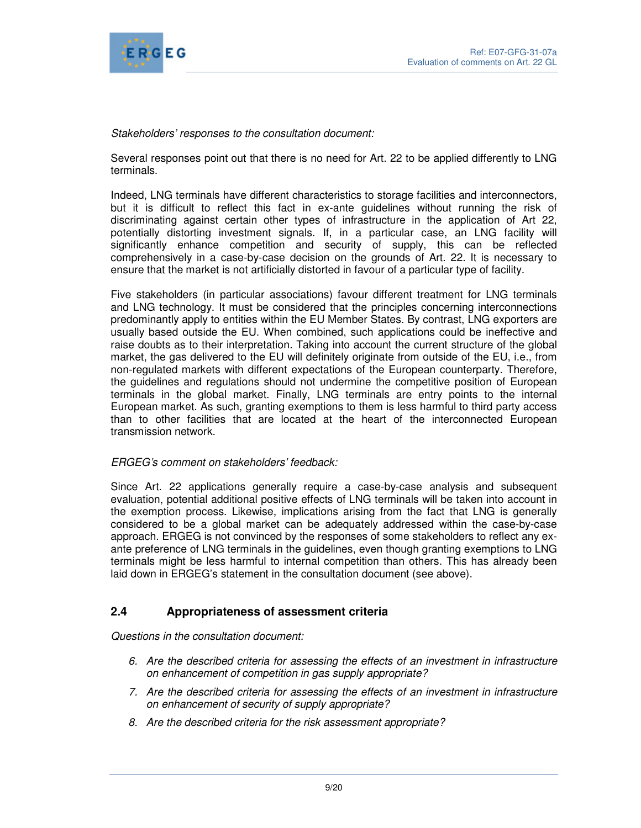

## Stakeholders' responses to the consultation document:

Several responses point out that there is no need for Art. 22 to be applied differently to LNG terminals.

Indeed, LNG terminals have different characteristics to storage facilities and interconnectors, but it is difficult to reflect this fact in ex-ante guidelines without running the risk of discriminating against certain other types of infrastructure in the application of Art 22, potentially distorting investment signals. If, in a particular case, an LNG facility will significantly enhance competition and security of supply, this can be reflected comprehensively in a case-by-case decision on the grounds of Art. 22. It is necessary to ensure that the market is not artificially distorted in favour of a particular type of facility.

Five stakeholders (in particular associations) favour different treatment for LNG terminals and LNG technology. It must be considered that the principles concerning interconnections predominantly apply to entities within the EU Member States. By contrast, LNG exporters are usually based outside the EU. When combined, such applications could be ineffective and raise doubts as to their interpretation. Taking into account the current structure of the global market, the gas delivered to the EU will definitely originate from outside of the EU, i.e., from non-regulated markets with different expectations of the European counterparty. Therefore, the guidelines and regulations should not undermine the competitive position of European terminals in the global market. Finally, LNG terminals are entry points to the internal European market. As such, granting exemptions to them is less harmful to third party access than to other facilities that are located at the heart of the interconnected European transmission network.

## ERGEG's comment on stakeholders' feedback:

Since Art. 22 applications generally require a case-by-case analysis and subsequent evaluation, potential additional positive effects of LNG terminals will be taken into account in the exemption process. Likewise, implications arising from the fact that LNG is generally considered to be a global market can be adequately addressed within the case-by-case approach. ERGEG is not convinced by the responses of some stakeholders to reflect any exante preference of LNG terminals in the guidelines, even though granting exemptions to LNG terminals might be less harmful to internal competition than others. This has already been laid down in ERGEG's statement in the consultation document (see above).

# **2.4 Appropriateness of assessment criteria**

Questions in the consultation document:

- 6. Are the described criteria for assessing the effects of an investment in infrastructure on enhancement of competition in gas supply appropriate?
- 7. Are the described criteria for assessing the effects of an investment in infrastructure on enhancement of security of supply appropriate?
- 8. Are the described criteria for the risk assessment appropriate?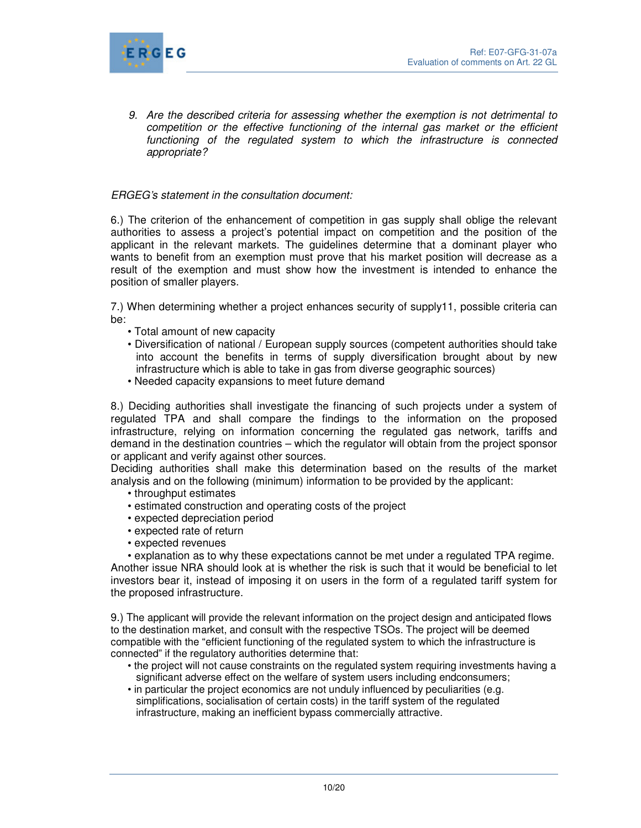

9. Are the described criteria for assessing whether the exemption is not detrimental to competition or the effective functioning of the internal gas market or the efficient functioning of the regulated system to which the infrastructure is connected appropriate?

## ERGEG's statement in the consultation document:

6.) The criterion of the enhancement of competition in gas supply shall oblige the relevant authorities to assess a project's potential impact on competition and the position of the applicant in the relevant markets. The guidelines determine that a dominant player who wants to benefit from an exemption must prove that his market position will decrease as a result of the exemption and must show how the investment is intended to enhance the position of smaller players.

7.) When determining whether a project enhances security of supply11, possible criteria can be:

- Total amount of new capacity
- Diversification of national / European supply sources (competent authorities should take into account the benefits in terms of supply diversification brought about by new infrastructure which is able to take in gas from diverse geographic sources)
- Needed capacity expansions to meet future demand

8.) Deciding authorities shall investigate the financing of such projects under a system of regulated TPA and shall compare the findings to the information on the proposed infrastructure, relying on information concerning the regulated gas network, tariffs and demand in the destination countries – which the regulator will obtain from the project sponsor or applicant and verify against other sources.

Deciding authorities shall make this determination based on the results of the market analysis and on the following (minimum) information to be provided by the applicant:

- throughput estimates
- estimated construction and operating costs of the project
- expected depreciation period
- expected rate of return
- expected revenues

• explanation as to why these expectations cannot be met under a regulated TPA regime. Another issue NRA should look at is whether the risk is such that it would be beneficial to let investors bear it, instead of imposing it on users in the form of a regulated tariff system for the proposed infrastructure.

9.) The applicant will provide the relevant information on the project design and anticipated flows to the destination market, and consult with the respective TSOs. The project will be deemed compatible with the "efficient functioning of the regulated system to which the infrastructure is connected" if the regulatory authorities determine that:

- the project will not cause constraints on the regulated system requiring investments having a significant adverse effect on the welfare of system users including endconsumers;
- in particular the project economics are not unduly influenced by peculiarities (e.g. simplifications, socialisation of certain costs) in the tariff system of the regulated infrastructure, making an inefficient bypass commercially attractive.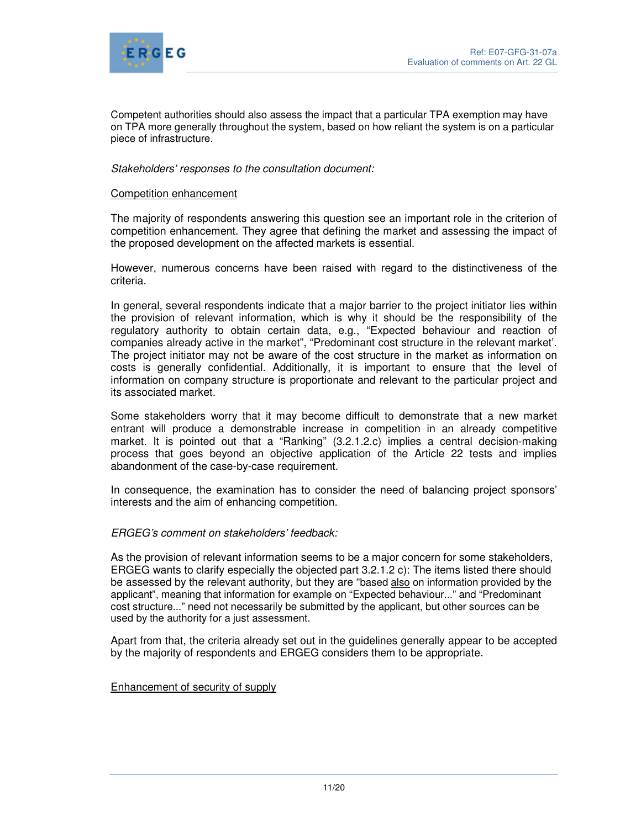

Competent authorities should also assess the impact that a particular TPA exemption may have on TPA more generally throughout the system, based on how reliant the system is on a particular piece of infrastructure.

## Stakeholders' responses to the consultation document:

#### Competition enhancement

The majority of respondents answering this question see an important role in the criterion of competition enhancement. They agree that defining the market and assessing the impact of the proposed development on the affected markets is essential.

However, numerous concerns have been raised with regard to the distinctiveness of the criteria.

In general, several respondents indicate that a major barrier to the project initiator lies within the provision of relevant information, which is why it should be the responsibility of the regulatory authority to obtain certain data, e.g., "Expected behaviour and reaction of companies already active in the market", "Predominant cost structure in the relevant market'. The project initiator may not be aware of the cost structure in the market as information on costs is generally confidential. Additionally, it is important to ensure that the level of information on company structure is proportionate and relevant to the particular project and its associated market.

Some stakeholders worry that it may become difficult to demonstrate that a new market entrant will produce a demonstrable increase in competition in an already competitive market. It is pointed out that a "Ranking" (3.2.1.2.c) implies a central decision-making process that goes beyond an objective application of the Article 22 tests and implies abandonment of the case-by-case requirement.

In consequence, the examination has to consider the need of balancing project sponsors' interests and the aim of enhancing competition.

#### ERGEG's comment on stakeholders' feedback:

As the provision of relevant information seems to be a major concern for some stakeholders, ERGEG wants to clarify especially the objected part 3.2.1.2 c): The items listed there should be assessed by the relevant authority, but they are "based also on information provided by the applicant", meaning that information for example on "Expected behaviour..." and "Predominant cost structure..." need not necessarily be submitted by the applicant, but other sources can be used by the authority for a just assessment.

Apart from that, the criteria already set out in the guidelines generally appear to be accepted by the majority of respondents and ERGEG considers them to be appropriate.

#### Enhancement of security of supply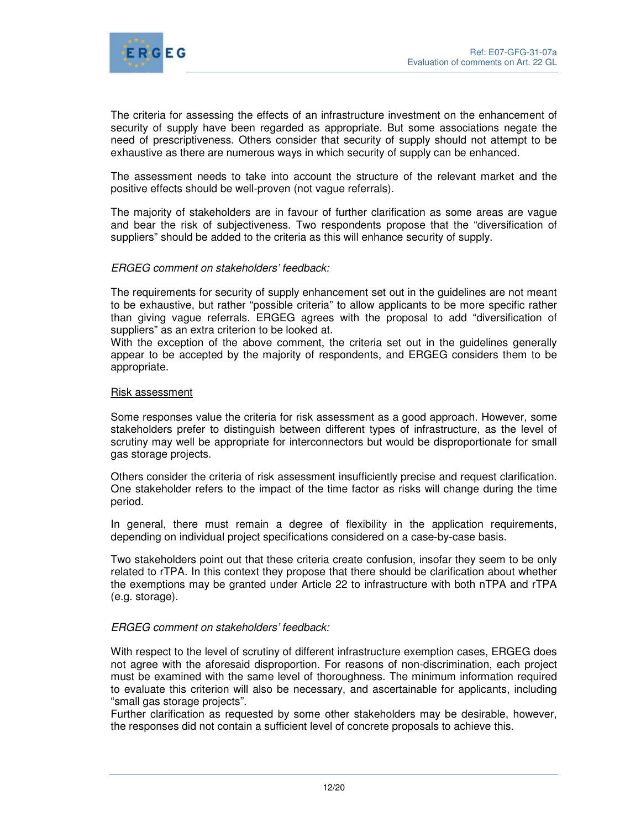

The criteria for assessing the effects of an infrastructure investment on the enhancement of security of supply have been regarded as appropriate. But some associations negate the need of prescriptiveness. Others consider that security of supply should not attempt to be exhaustive as there are numerous ways in which security of supply can be enhanced.

The assessment needs to take into account the structure of the relevant market and the positive effects should be well-proven (not vague referrals).

The majority of stakeholders are in favour of further clarification as some areas are vague and bear the risk of subjectiveness. Two respondents propose that the "diversification of suppliers" should be added to the criteria as this will enhance security of supply.

## ERGEG comment on stakeholders' feedback:

The requirements for security of supply enhancement set out in the guidelines are not meant to be exhaustive, but rather "possible criteria" to allow applicants to be more specific rather than giving vague referrals. ERGEG agrees with the proposal to add "diversification of suppliers" as an extra criterion to be looked at.

With the exception of the above comment, the criteria set out in the guidelines generally appear to be accepted by the majority of respondents, and ERGEG considers them to be appropriate.

#### Risk assessment

Some responses value the criteria for risk assessment as a good approach. However, some stakeholders prefer to distinguish between different types of infrastructure, as the level of scrutiny may well be appropriate for interconnectors but would be disproportionate for small gas storage projects.

Others consider the criteria of risk assessment insufficiently precise and request clarification. One stakeholder refers to the impact of the time factor as risks will change during the time period.

In general, there must remain a degree of flexibility in the application requirements, depending on individual project specifications considered on a case-by-case basis.

Two stakeholders point out that these criteria create confusion, insofar they seem to be only related to rTPA. In this context they propose that there should be clarification about whether the exemptions may be granted under Article 22 to infrastructure with both nTPA and rTPA (e.g. storage).

#### ERGEG comment on stakeholders' feedback:

With respect to the level of scrutiny of different infrastructure exemption cases, ERGEG does not agree with the aforesaid disproportion. For reasons of non-discrimination, each project must be examined with the same level of thoroughness. The minimum information required to evaluate this criterion will also be necessary, and ascertainable for applicants, including "small gas storage projects".

Further clarification as requested by some other stakeholders may be desirable, however, the responses did not contain a sufficient level of concrete proposals to achieve this.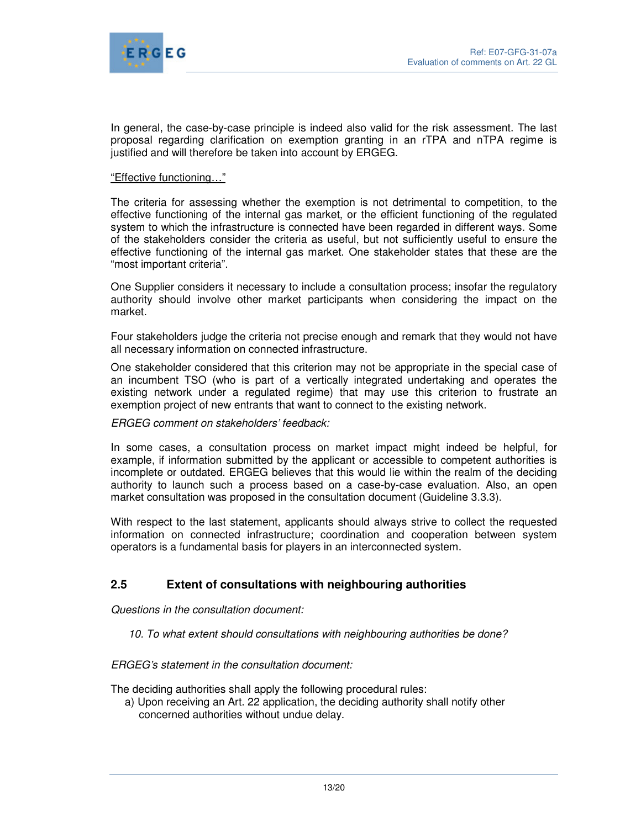

In general, the case-by-case principle is indeed also valid for the risk assessment. The last proposal regarding clarification on exemption granting in an rTPA and nTPA regime is justified and will therefore be taken into account by ERGEG.

#### "Effective functioning…"

The criteria for assessing whether the exemption is not detrimental to competition, to the effective functioning of the internal gas market, or the efficient functioning of the regulated system to which the infrastructure is connected have been regarded in different ways. Some of the stakeholders consider the criteria as useful, but not sufficiently useful to ensure the effective functioning of the internal gas market. One stakeholder states that these are the "most important criteria".

One Supplier considers it necessary to include a consultation process; insofar the regulatory authority should involve other market participants when considering the impact on the market.

Four stakeholders judge the criteria not precise enough and remark that they would not have all necessary information on connected infrastructure.

One stakeholder considered that this criterion may not be appropriate in the special case of an incumbent TSO (who is part of a vertically integrated undertaking and operates the existing network under a regulated regime) that may use this criterion to frustrate an exemption project of new entrants that want to connect to the existing network.

#### ERGEG comment on stakeholders' feedback:

In some cases, a consultation process on market impact might indeed be helpful, for example, if information submitted by the applicant or accessible to competent authorities is incomplete or outdated. ERGEG believes that this would lie within the realm of the deciding authority to launch such a process based on a case-by-case evaluation. Also, an open market consultation was proposed in the consultation document (Guideline 3.3.3).

With respect to the last statement, applicants should always strive to collect the requested information on connected infrastructure; coordination and cooperation between system operators is a fundamental basis for players in an interconnected system.

# **2.5 Extent of consultations with neighbouring authorities**

Questions in the consultation document:

10. To what extent should consultations with neighbouring authorities be done?

ERGEG's statement in the consultation document:

The deciding authorities shall apply the following procedural rules:

a) Upon receiving an Art. 22 application, the deciding authority shall notify other concerned authorities without undue delay.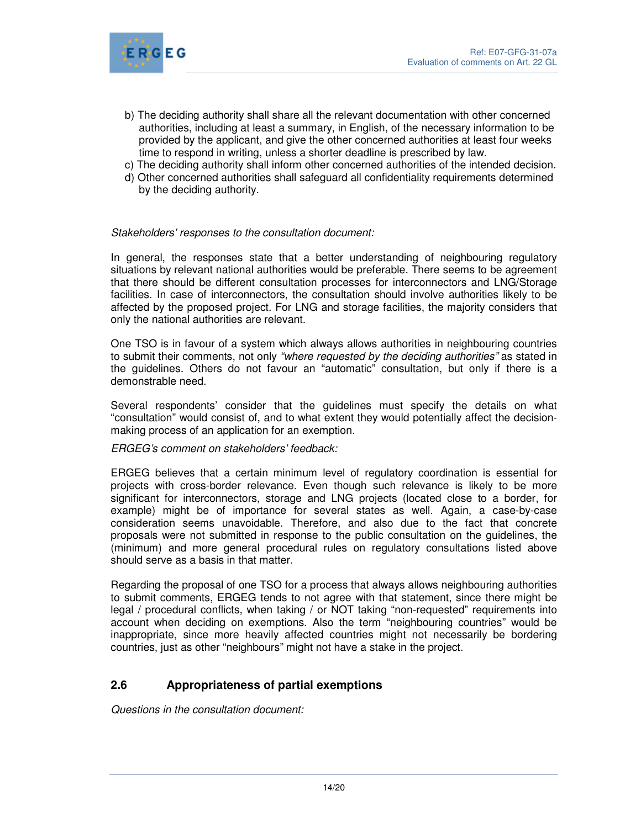

- b) The deciding authority shall share all the relevant documentation with other concerned authorities, including at least a summary, in English, of the necessary information to be provided by the applicant, and give the other concerned authorities at least four weeks time to respond in writing, unless a shorter deadline is prescribed by law.
- c) The deciding authority shall inform other concerned authorities of the intended decision.
- d) Other concerned authorities shall safeguard all confidentiality requirements determined by the deciding authority.

## Stakeholders' responses to the consultation document:

In general, the responses state that a better understanding of neighbouring regulatory situations by relevant national authorities would be preferable. There seems to be agreement that there should be different consultation processes for interconnectors and LNG/Storage facilities. In case of interconnectors, the consultation should involve authorities likely to be affected by the proposed project. For LNG and storage facilities, the majority considers that only the national authorities are relevant.

One TSO is in favour of a system which always allows authorities in neighbouring countries to submit their comments, not only "where requested by the deciding authorities" as stated in the guidelines. Others do not favour an "automatic" consultation, but only if there is a demonstrable need.

Several respondents' consider that the guidelines must specify the details on what "consultation" would consist of, and to what extent they would potentially affect the decisionmaking process of an application for an exemption.

ERGEG's comment on stakeholders' feedback:

ERGEG believes that a certain minimum level of regulatory coordination is essential for projects with cross-border relevance. Even though such relevance is likely to be more significant for interconnectors, storage and LNG projects (located close to a border, for example) might be of importance for several states as well. Again, a case-by-case consideration seems unavoidable. Therefore, and also due to the fact that concrete proposals were not submitted in response to the public consultation on the guidelines, the (minimum) and more general procedural rules on regulatory consultations listed above should serve as a basis in that matter.

Regarding the proposal of one TSO for a process that always allows neighbouring authorities to submit comments, ERGEG tends to not agree with that statement, since there might be legal / procedural conflicts, when taking / or NOT taking "non-requested" requirements into account when deciding on exemptions. Also the term "neighbouring countries" would be inappropriate, since more heavily affected countries might not necessarily be bordering countries, just as other "neighbours" might not have a stake in the project.

# **2.6 Appropriateness of partial exemptions**

Questions in the consultation document: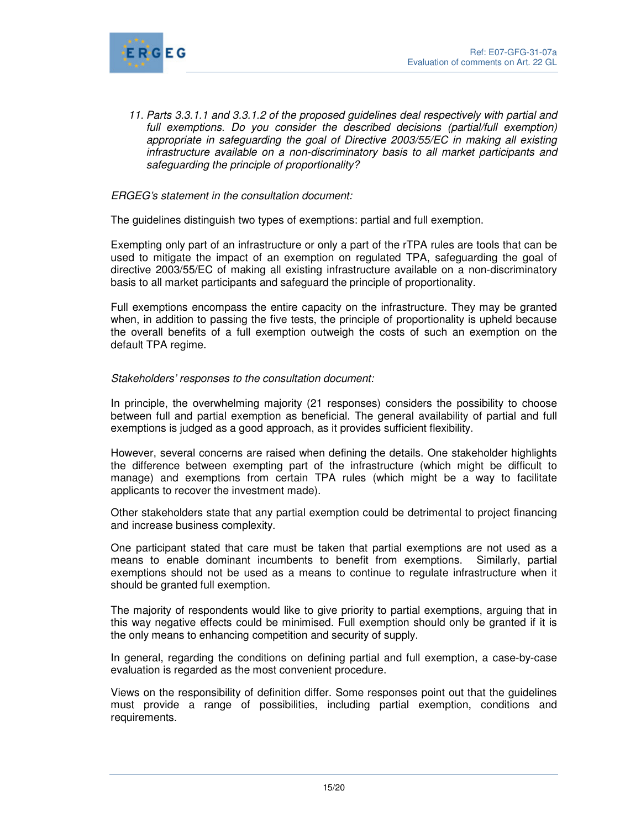

11. Parts 3.3.1.1 and 3.3.1.2 of the proposed guidelines deal respectively with partial and full exemptions. Do you consider the described decisions (partial/full exemption) appropriate in safeguarding the goal of Directive 2003/55/EC in making all existing infrastructure available on a non-discriminatory basis to all market participants and safeguarding the principle of proportionality?

## ERGEG's statement in the consultation document:

The guidelines distinguish two types of exemptions: partial and full exemption.

Exempting only part of an infrastructure or only a part of the rTPA rules are tools that can be used to mitigate the impact of an exemption on regulated TPA, safeguarding the goal of directive 2003/55/EC of making all existing infrastructure available on a non-discriminatory basis to all market participants and safeguard the principle of proportionality.

Full exemptions encompass the entire capacity on the infrastructure. They may be granted when, in addition to passing the five tests, the principle of proportionality is upheld because the overall benefits of a full exemption outweigh the costs of such an exemption on the default TPA regime.

#### Stakeholders' responses to the consultation document:

In principle, the overwhelming majority (21 responses) considers the possibility to choose between full and partial exemption as beneficial. The general availability of partial and full exemptions is judged as a good approach, as it provides sufficient flexibility.

However, several concerns are raised when defining the details. One stakeholder highlights the difference between exempting part of the infrastructure (which might be difficult to manage) and exemptions from certain TPA rules (which might be a way to facilitate applicants to recover the investment made).

Other stakeholders state that any partial exemption could be detrimental to project financing and increase business complexity.

One participant stated that care must be taken that partial exemptions are not used as a means to enable dominant incumbents to benefit from exemptions. Similarly, partial exemptions should not be used as a means to continue to regulate infrastructure when it should be granted full exemption.

The majority of respondents would like to give priority to partial exemptions, arguing that in this way negative effects could be minimised. Full exemption should only be granted if it is the only means to enhancing competition and security of supply.

In general, regarding the conditions on defining partial and full exemption, a case-by-case evaluation is regarded as the most convenient procedure.

Views on the responsibility of definition differ. Some responses point out that the guidelines must provide a range of possibilities, including partial exemption, conditions and requirements.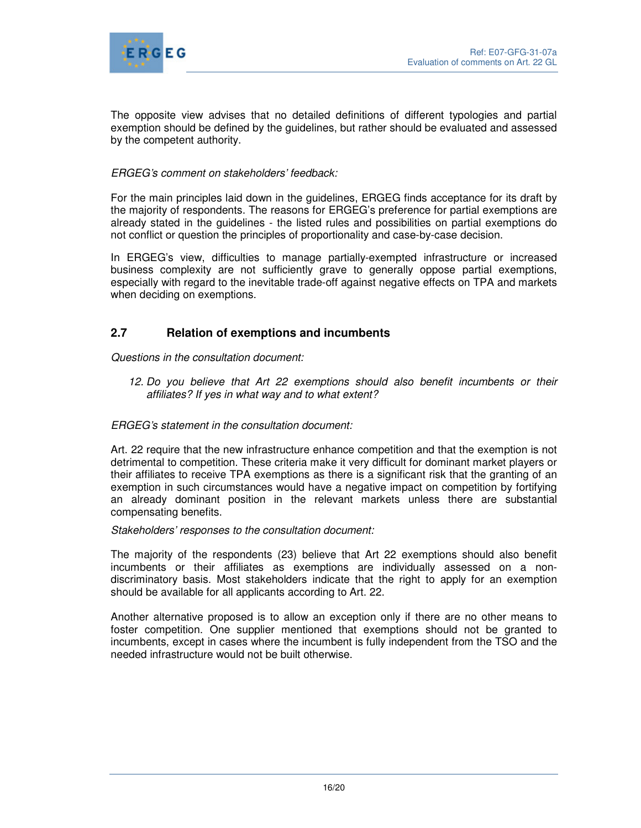

The opposite view advises that no detailed definitions of different typologies and partial exemption should be defined by the guidelines, but rather should be evaluated and assessed by the competent authority.

## ERGEG's comment on stakeholders' feedback:

For the main principles laid down in the guidelines, ERGEG finds acceptance for its draft by the majority of respondents. The reasons for ERGEG's preference for partial exemptions are already stated in the guidelines - the listed rules and possibilities on partial exemptions do not conflict or question the principles of proportionality and case-by-case decision.

In ERGEG's view, difficulties to manage partially-exempted infrastructure or increased business complexity are not sufficiently grave to generally oppose partial exemptions, especially with regard to the inevitable trade-off against negative effects on TPA and markets when deciding on exemptions.

# **2.7 Relation of exemptions and incumbents**

Questions in the consultation document:

12. Do you believe that Art 22 exemptions should also benefit incumbents or their affiliates? If yes in what way and to what extent?

## ERGEG's statement in the consultation document:

Art. 22 require that the new infrastructure enhance competition and that the exemption is not detrimental to competition. These criteria make it very difficult for dominant market players or their affiliates to receive TPA exemptions as there is a significant risk that the granting of an exemption in such circumstances would have a negative impact on competition by fortifying an already dominant position in the relevant markets unless there are substantial compensating benefits.

#### Stakeholders' responses to the consultation document:

The majority of the respondents (23) believe that Art 22 exemptions should also benefit incumbents or their affiliates as exemptions are individually assessed on a nondiscriminatory basis. Most stakeholders indicate that the right to apply for an exemption should be available for all applicants according to Art. 22.

Another alternative proposed is to allow an exception only if there are no other means to foster competition. One supplier mentioned that exemptions should not be granted to incumbents, except in cases where the incumbent is fully independent from the TSO and the needed infrastructure would not be built otherwise.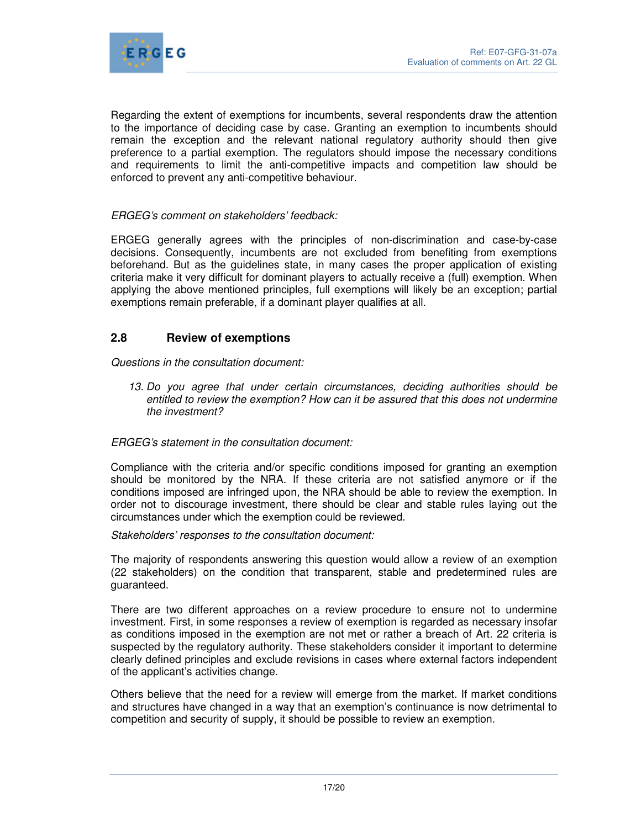

Regarding the extent of exemptions for incumbents, several respondents draw the attention to the importance of deciding case by case. Granting an exemption to incumbents should remain the exception and the relevant national regulatory authority should then give preference to a partial exemption. The regulators should impose the necessary conditions and requirements to limit the anti-competitive impacts and competition law should be enforced to prevent any anti-competitive behaviour.

## ERGEG's comment on stakeholders' feedback:

ERGEG generally agrees with the principles of non-discrimination and case-by-case decisions. Consequently, incumbents are not excluded from benefiting from exemptions beforehand. But as the guidelines state, in many cases the proper application of existing criteria make it very difficult for dominant players to actually receive a (full) exemption. When applying the above mentioned principles, full exemptions will likely be an exception; partial exemptions remain preferable, if a dominant player qualifies at all.

## **2.8 Review of exemptions**

Questions in the consultation document:

13. Do you agree that under certain circumstances, deciding authorities should be entitled to review the exemption? How can it be assured that this does not undermine the investment?

## ERGEG's statement in the consultation document:

Compliance with the criteria and/or specific conditions imposed for granting an exemption should be monitored by the NRA. If these criteria are not satisfied anymore or if the conditions imposed are infringed upon, the NRA should be able to review the exemption. In order not to discourage investment, there should be clear and stable rules laying out the circumstances under which the exemption could be reviewed.

Stakeholders' responses to the consultation document:

The majority of respondents answering this question would allow a review of an exemption (22 stakeholders) on the condition that transparent, stable and predetermined rules are guaranteed.

There are two different approaches on a review procedure to ensure not to undermine investment. First, in some responses a review of exemption is regarded as necessary insofar as conditions imposed in the exemption are not met or rather a breach of Art. 22 criteria is suspected by the regulatory authority. These stakeholders consider it important to determine clearly defined principles and exclude revisions in cases where external factors independent of the applicant's activities change.

Others believe that the need for a review will emerge from the market. If market conditions and structures have changed in a way that an exemption's continuance is now detrimental to competition and security of supply, it should be possible to review an exemption.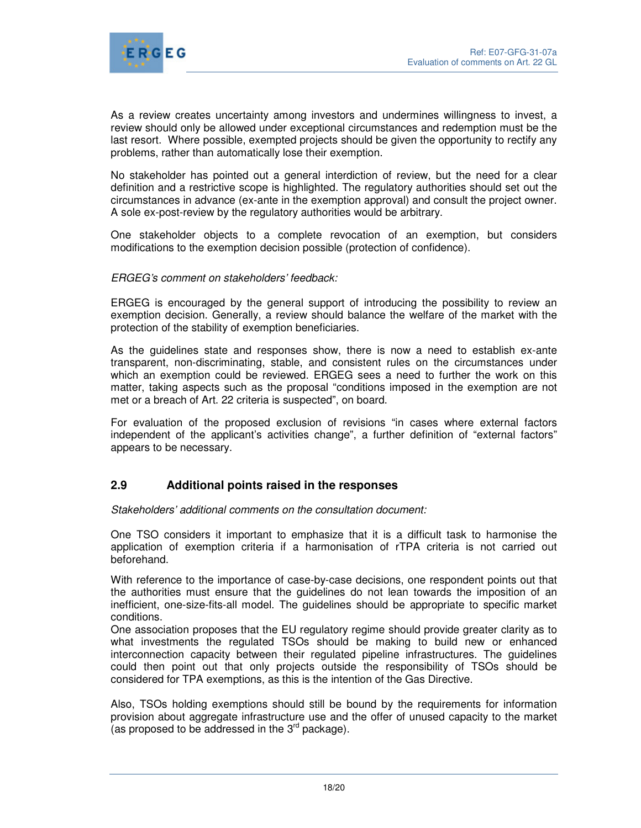

As a review creates uncertainty among investors and undermines willingness to invest, a review should only be allowed under exceptional circumstances and redemption must be the last resort. Where possible, exempted projects should be given the opportunity to rectify any problems, rather than automatically lose their exemption.

No stakeholder has pointed out a general interdiction of review, but the need for a clear definition and a restrictive scope is highlighted. The regulatory authorities should set out the circumstances in advance (ex-ante in the exemption approval) and consult the project owner. A sole ex-post-review by the regulatory authorities would be arbitrary.

One stakeholder objects to a complete revocation of an exemption, but considers modifications to the exemption decision possible (protection of confidence).

## ERGEG's comment on stakeholders' feedback:

ERGEG is encouraged by the general support of introducing the possibility to review an exemption decision. Generally, a review should balance the welfare of the market with the protection of the stability of exemption beneficiaries.

As the guidelines state and responses show, there is now a need to establish ex-ante transparent, non-discriminating, stable, and consistent rules on the circumstances under which an exemption could be reviewed. ERGEG sees a need to further the work on this matter, taking aspects such as the proposal "conditions imposed in the exemption are not met or a breach of Art. 22 criteria is suspected", on board.

For evaluation of the proposed exclusion of revisions "in cases where external factors independent of the applicant's activities change", a further definition of "external factors" appears to be necessary.

## **2.9 Additional points raised in the responses**

Stakeholders' additional comments on the consultation document:

One TSO considers it important to emphasize that it is a difficult task to harmonise the application of exemption criteria if a harmonisation of rTPA criteria is not carried out beforehand.

With reference to the importance of case-by-case decisions, one respondent points out that the authorities must ensure that the guidelines do not lean towards the imposition of an inefficient, one-size-fits-all model. The guidelines should be appropriate to specific market conditions.

One association proposes that the EU regulatory regime should provide greater clarity as to what investments the regulated TSOs should be making to build new or enhanced interconnection capacity between their regulated pipeline infrastructures. The guidelines could then point out that only projects outside the responsibility of TSOs should be considered for TPA exemptions, as this is the intention of the Gas Directive.

Also, TSOs holding exemptions should still be bound by the requirements for information provision about aggregate infrastructure use and the offer of unused capacity to the market (as proposed to be addressed in the  $3<sup>rd</sup>$  package).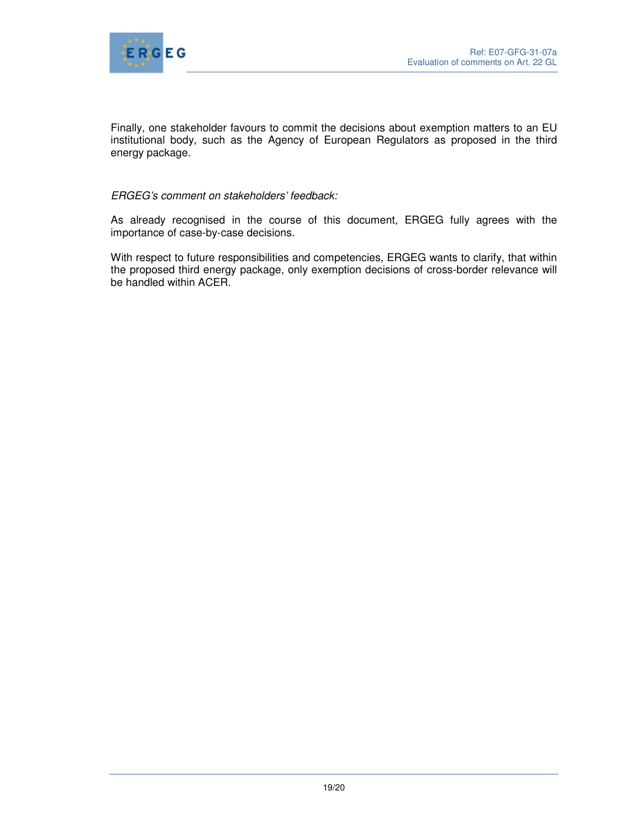

Finally, one stakeholder favours to commit the decisions about exemption matters to an EU institutional body, such as the Agency of European Regulators as proposed in the third energy package.

## ERGEG's comment on stakeholders' feedback:

As already recognised in the course of this document, ERGEG fully agrees with the importance of case-by-case decisions.

With respect to future responsibilities and competencies, ERGEG wants to clarify, that within the proposed third energy package, only exemption decisions of cross-border relevance will be handled within ACER.